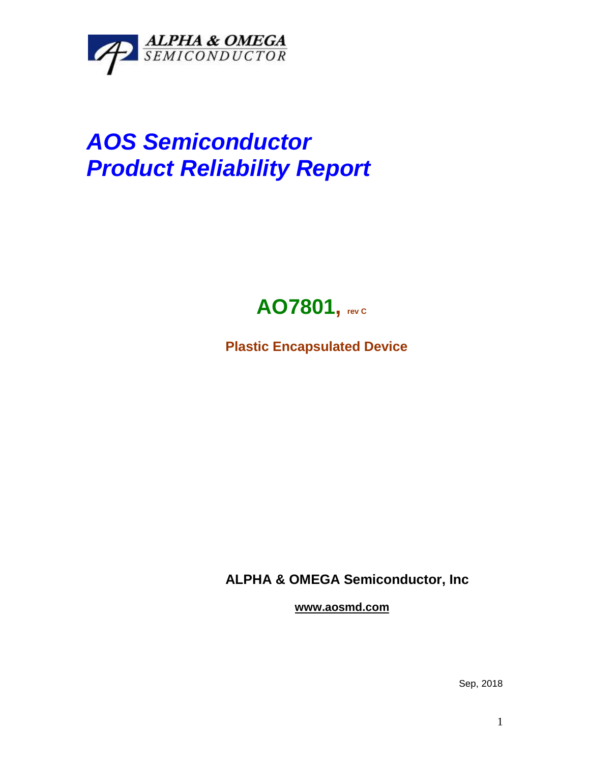

## *AOS Semiconductor Product Reliability Report*



**Plastic Encapsulated Device**

**ALPHA & OMEGA Semiconductor, Inc**

**www.aosmd.com**

Sep, 2018